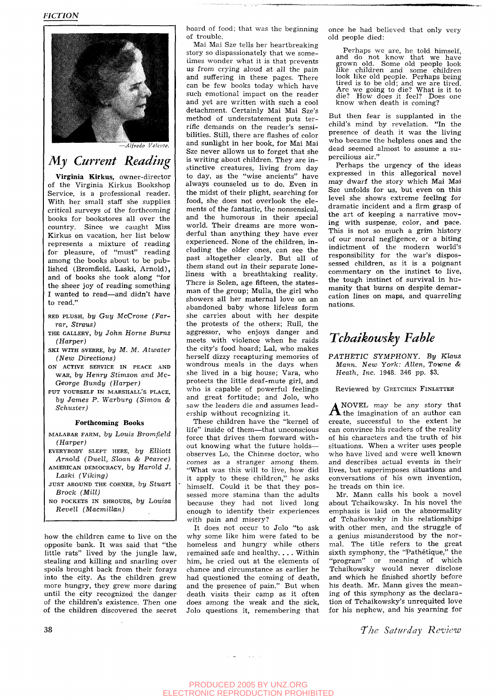

*Alfredo Valente.* 

## *My Current Reading*

Virginia Kirkus, owner-director of the Virginia Kirkus Bookshop Service, is a professional reader. With her small staff she supplies critical surveys of the forthcoming books for bookstores all over the country. Since we caught Miss Kirkus on vacation, her list below represents a mixture of reading for pleasure, of "must" reading among the books about to be published (Bromfield, Laski, Arnold), and of books she took along "for the sheer joy of reading something I wanted to read—and didn't have to read."

- RED PLUSH, by Guy McCrone (Far*rar, Straus)*
- THE GALLERY, bj/ *Johni Home Burns (Harper)*
- SKI WITH svERRE, by *M. M. Atwater (New Directions)*
- ON ACTIVE SERVICE IN PEACE AND WAR, *by Henry Stimson and Mc-George Bundy (Harper)*
- PUT YOURSELF IN MARSHALL'S PLACE, *by James P. Warburg (Simon & Schuster)*

### **Forthcoming Books**

- MALABAR FARM, *by Louis Bromfield (Harper)*
- EVERYBODY SLEPT HERE, *by ElUott Arnold (Duell, Sloan & Pearce)*  AMERICAN DEMOCRACY, by Harold J.
- *Laski (Viking)*  JUST AROUND THE CORNER, *by StUart Brock (Mill)*
- NO POCKETS IN SHROUDS, *by Louisa Revell (Macmillan)*

how the children came to live on the opposite bank. It was said that "the little rats" lived by the jungle law, stealing and killing and snarling over spoils brought back from their forays into the city. As the children grew more hungry, they grew more daring until the city recognized the danger of the children's existence. Then one of the children discovered the secret hoard of food; that was the beginning of trouble .

Mai Mai Sze tells her heartbreaking story so dispassionately that we sometimes wonder what it is that prevents us from crying aloud at all the pain and suffering in these pages. There can be few books today which have such emotional impact on the reader and yet are written with such a cool detachment. Certainly Mai Mai Sze's method of understatement puts terrific demands on the reader's sensibilities. Still, there are flashes of color and sunlight in her book, for Mai Mai Sze never allows us to forget that she is writing about children. They are instinctive creatures, living from day to day, as the "wise ancients" have always counseled us to do. Even in the midst of their plight, searching for food, she does not overlook the elements of the fantastic, the nonsensical, and the humorous in their special world. Their dreams are more wonderful than anything they have ever experienced. None of the children, including the older ones, can see the past altogether clearly. But all of them stand out in their separate loneliness with a breathtaking reality. There is Solen, age fifteen, the statesman of the group; Mulla, the girl who showers all her maternal love on an abandoned baby whose lifeless form she carries about with her despite the protests of the others; Rull, the aggressor, who enjoys danger and meets with violence when he raids the city's food hoard: Lal. who makes herself dizzy recapturing memories of wondrous meals in the days when she lived in a big house; Vara, who protects the little deaf-mute girl, and who is capable of powerful feelings and great fortitude; and Jolo, who saw the leaders die and assumes leadership without recognizing it.

These children have the "kernel of life" inside of them—that unconscious force that drives them forward without knowing what the future holdsobserves Lo, the Chinese doctor, who comes as a stranger among them. "What was this will to live, how did it apply to these children," he asks himself. Could it be that they possessed more stamina than the adults because they had not lived long enough to identify their experiences with pain and misery?

It does not occur to Jolo "to ask why some like him were fated to be homeless and hungry while others remained safe and healthy.  $\dots$  Within him, he cried out at the elements of chance and circumstance as earlier he had questioned the coming of death, and the presence of pain." But when death visits their camp as it often does among the weak and the sick, Jolo questions it, remembering that once he had believed that only very old people died:

Perhaps we are, he told himself,<br>and do not know that we have<br>grown old. Some old people look<br>like children and some children<br>look like old people. Perhaps being<br>tired is to be old; and we are tired.<br>Are we going to die? W know when death is coming?

But then fear is supplanted in the child's mind by revelation. "In the presence of death it was the living who became the helpless ones and the dead seemed almost to assume a supercilious air."

Perhaps the urgency of the ideas expressed in this allegorical novel may dwarf the story which Mai Mai Sze unfolds for us, but even on this level she shows extreme feeling for dramatic incident and a firm grasp of the art of keeping a narrative moving with suspense, color, and pace. This is not so much a grim history of our moral negligence, or a biting indictment of the modern world's responsibility for the war's dispossessed children, as it is a poignant commentary on the instinct to live, the tough instinct of survival in humanity that burns on despite demarcation lines on maps, and quarreling nations.

## *Tchaikowsky Fable*

*PATHETIC SYMPHONY. By Klaus Mann. New York: Allen, Towne & Heath, Inc.* 1948. 346 pp. \$3.

Reviewed by GRETCHEN FINLETTER

 $A^{NOVEL}$  may be any story that the imagination of an author can NOVEL may be any story that create, successful to the extent he can convince his readers of the reality of his characters and the truth of his situations. When a writer uses people who have lived and were well known and describes actual events in their lives, but superimposes situations and conversations of his own invention, he treads on thin ice.

Mr. Mann calls his book a novel about Tchaikowsky. In his novel the emphasis is laid on the abnormality of Tchaikowsky in his relationships with other men, and the struggle of a genius misunderstood by the normal. The title refers to the great sixth symphony, the "Pathétique," the "program" or meaning of which Tchaikowsky would never disclose and which he finished shortly before his death. Mr. Mann gives the meaning of this symphony as the declaration of Tchaikowsky's unrequited love for his nephew, and his yearning for

**38** *The Saturday Review*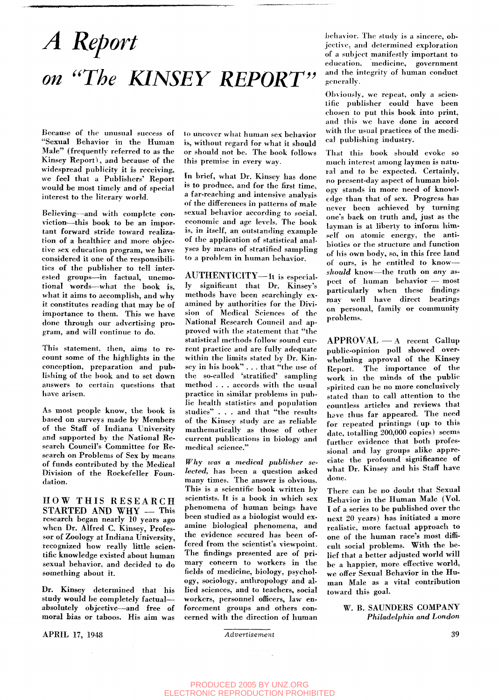# *A Report on* "The KINSEY REPORT"

Because of the unusual success of "Sexual Behavior in the Human Male" (frequently referred to as the Kinsey Report), and because of the widespread publicity it is receiving, we feel that a Publishers' Report would be most timely and of special interest to the literary world.

Believing—and with complete conviction—this book to be an important forward stride toward realization of a healthier and more objective sex education program, we have considered it one of the responsibilities of the publisher to tell interested groups—in factual, unemotional words--what the book is, what it aims to accomplish, and why it constitutes reading that may be of importance to them. This we have done through our advertising program, and will continue to do.

This statement, then, aims to recount some of the highlights in the conception, preparation and publishing of the book and to set down answers to certain questions that have arisen.

As most people know, the book is based on surveys made by Members of the Staff of Indiana University and supported by the National Research Council's Committee for Research on Problems of Sex by means of funds contributed by the Medical Division of the Rockefeller Foundation.

HOW THIS RESEARCH STARTED AND WHY - This research began nearly 10 years ago when Dr. Alfred C. Kinsey, Professor of Zoology at Indiana University, recognized how really little scientific knowledge existed about human sexual behavior, and decided to do something about it.

Dr. Kinsey determined that his study would be completely factualabsolutely objective—and free of moral bias or taboos. His aim was

APRIL 17, 1948 *Advertisement* 39

to uncover what human sex behavior is, without regard for what it should or should not be. The book follows this premise in every way.

In brief, what Dr. Kinsey has done is to produce, and for the first time, a far-reaching and intensive analysis of the differences in patterns of male sexual behavior according to social, economic and age levels. The book is, in itself, an outstanding example of the application of statistical analyses by means of stratified sampling to a problem in human behavior.

AUTHENTICITY—It is especially significant that Dr. Kinsey's methods have been searchingly examined by authorities for the Division of Medical Sciences of the National Research Council and approved with the statement that "the statistical methods follow sound current practice and are fully adequate within the limits stated by Dr. Kinsey in his book" . . . that "the use of the so-called 'stratified' sampling method . . . accords with the usual practice in similar problems in public health statistics and population studies" . . . and that "the results of the Kinsey study are as reliable mathematically as those of other current publications in biology and medical science."

*Why was a medical publisher selected,* has been a question asked many times. The answer is obvious. This is a scientific book written by scientists. It is a book in which sex phenomena of human beings have been studied as a biologist would examine biological phenomena, and the evidence secured has been offered from the scientist's viewpoint. The findings presented are of primary concern to workers in the fields of medicine, biology, psychology, sociology, anthropology and allied sciences, and to teachers, social workers, personnel officers, law enforcement groups and others concerned with the direction of human

behavior. The study is a sincere, objective, and determined exploration of a subject manifestly important to education. medicine, government and the integrity of human conduct generally.

Obviously, we repeat, only a scientific publisher could have been chosen to put this book into print, and this we have done in accord with the usual practices of the medical publishing industry.

That this book should evoke so much interest among laymen is natural and to be expected. Certainly, no present-day aspect of human biology stands in more need of knowledge than that of sex. Progress has never been achieved by turning one's back on truth and, just as the layman is at liberty to inform him self on atomic energy, the antibiotics or the structure and function of his own body, so, in this free land of ours, is he entitled to know *should* know—the truth on *any* aspect of human behavior — most particularly when these findings may well have direct bearings on personal, family or community problems.

APPROVAL — A recent Gallup public-opinion poll showed overwhelming approval of the Kinsey Report. The importance of the work in the minds of the public spirited can be no more conclusively stated than to call attention to the countless articles and reviews that have thus far appeared. The need for repeated printings (up to this date, totalling 200,000 copies) seems further evidence that both professional and lay groups alike appreciate the profound significance of what Dr. Kinsey and his Staff have done.

There can be no doubt that Sexual Behavior in the Human Male (Vol. 1 of a series to be published over the next 20 years) has initiated a more realistic, more factual approach to one of the human race's most difficult social problems. With the belief that a better adjusted world will be a happier, more effective world, we offer Sexual Behavior in the Human Male as a vital contribution toward this goal.

> W. B. SAUNDERS COMPANY *Philadelphia and London*